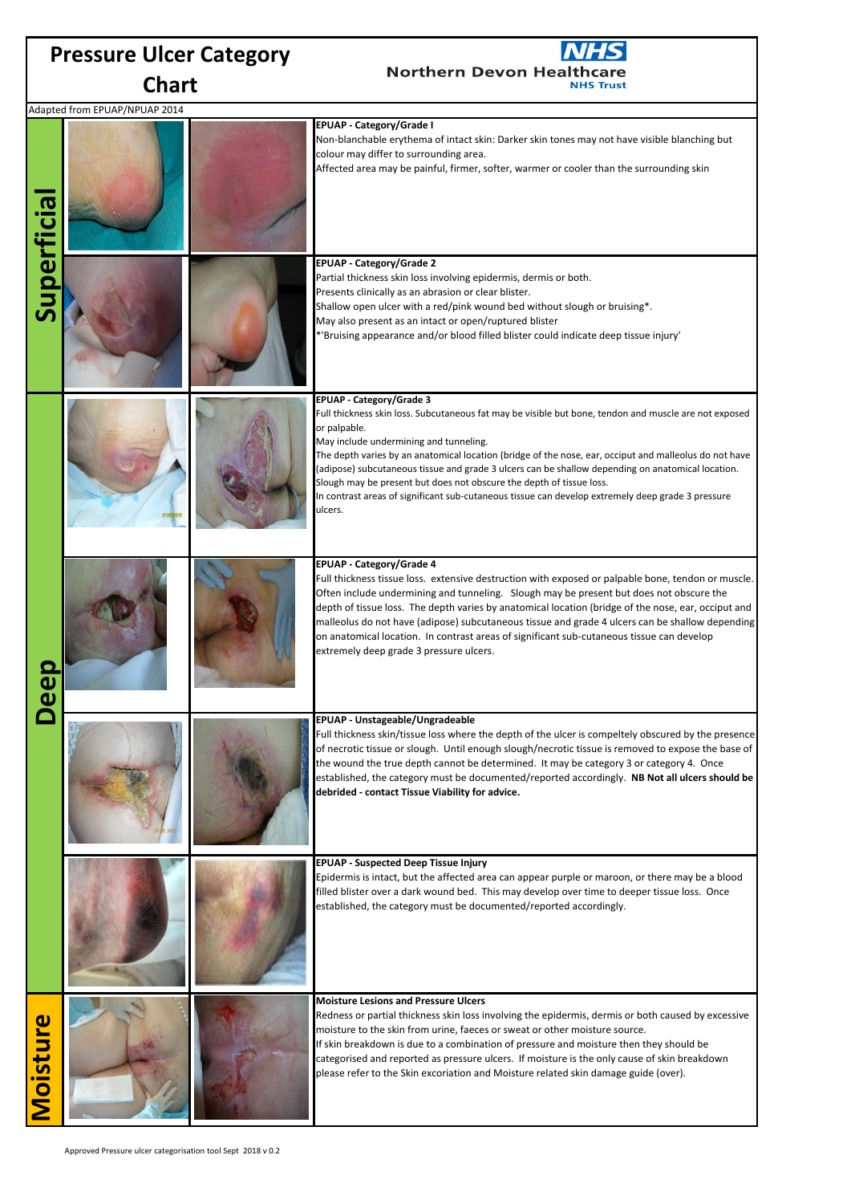| <b>Pressure Ulcer Category</b> |                               |  |                                                                                                                                                                                                                                                                                                                                                                                                                                                                                                                                                                                                    |  |
|--------------------------------|-------------------------------|--|----------------------------------------------------------------------------------------------------------------------------------------------------------------------------------------------------------------------------------------------------------------------------------------------------------------------------------------------------------------------------------------------------------------------------------------------------------------------------------------------------------------------------------------------------------------------------------------------------|--|
| <b>Chart</b>                   |                               |  | <b>Northern Devon Healthcare</b><br><b>NHS Trust</b>                                                                                                                                                                                                                                                                                                                                                                                                                                                                                                                                               |  |
|                                | Adapted from EPUAP/NPUAP 2014 |  |                                                                                                                                                                                                                                                                                                                                                                                                                                                                                                                                                                                                    |  |
|                                |                               |  | <b>EPUAP - Category/Grade I</b><br>Non-blanchable erythema of intact skin: Darker skin tones may not have visible blanching but<br>colour may differ to surrounding area.<br>Affected area may be painful, firmer, softer, warmer or cooler than the surrounding skin                                                                                                                                                                                                                                                                                                                              |  |
| <b>Superficia</b>              |                               |  | EPUAP - Category/Grade 2<br>Partial thickness skin loss involving epidermis, dermis or both.<br>Presents clinically as an abrasion or clear blister.<br>Shallow open ulcer with a red/pink wound bed without slough or bruising*.<br>May also present as an intact or open/ruptured blister<br>*'Bruising appearance and/or blood filled blister could indicate deep tissue injury'                                                                                                                                                                                                                |  |
| a<br>Q                         |                               |  | EPUAP - Category/Grade 3<br>Full thickness skin loss. Subcutaneous fat may be visible but bone, tendon and muscle are not exposed<br>or palpable.<br>May include undermining and tunneling.<br>The depth varies by an anatomical location (bridge of the nose, ear, occiput and malleolus do not have<br>(adipose) subcutaneous tissue and grade 3 ulcers can be shallow depending on anatomical location.<br>Slough may be present but does not obscure the depth of tissue loss.<br>In contrast areas of significant sub-cutaneous tissue can develop extremely deep grade 3 pressure<br>ulcers. |  |
|                                |                               |  | EPUAP - Category/Grade 4<br>Full thickness tissue loss. extensive destruction with exposed or palpable bone, tendon or muscle.<br>Often include undermining and tunneling. Slough may be present but does not obscure the<br>depth of tissue loss. The depth varies by anatomical location (bridge of the nose, ear, occiput and<br>malleolus do not have (adipose) subcutaneous tissue and grade 4 ulcers can be shallow depending<br>on anatomical location. In contrast areas of significant sub-cutaneous tissue can develop<br>extremely deep grade 3 pressure ulcers.                        |  |
|                                |                               |  | EPUAP - Unstageable/Ungradeable<br>Full thickness skin/tissue loss where the depth of the ulcer is compeltely obscured by the presence<br>of necrotic tissue or slough. Until enough slough/necrotic tissue is removed to expose the base of<br>the wound the true depth cannot be determined. It may be category 3 or category 4. Once<br>established, the category must be documented/reported accordingly. NB Not all ulcers should be<br>debrided - contact Tissue Viability for advice.                                                                                                       |  |
|                                |                               |  | <b>EPUAP - Suspected Deep Tissue Injury</b><br>Epidermis is intact, but the affected area can appear purple or maroon, or there may be a blood<br>filled blister over a dark wound bed. This may develop over time to deeper tissue loss. Once<br>established, the category must be documented/reported accordingly.                                                                                                                                                                                                                                                                               |  |
| <b>Moisture</b>                |                               |  | <b>Moisture Lesions and Pressure Ulcers</b><br>Redness or partial thickness skin loss involving the epidermis, dermis or both caused by excessive<br>moisture to the skin from urine, faeces or sweat or other moisture source.<br>If skin breakdown is due to a combination of pressure and moisture then they should be<br>categorised and reported as pressure ulcers. If moisture is the only cause of skin breakdown<br>please refer to the Skin excoriation and Moisture related skin damage guide (over).                                                                                   |  |